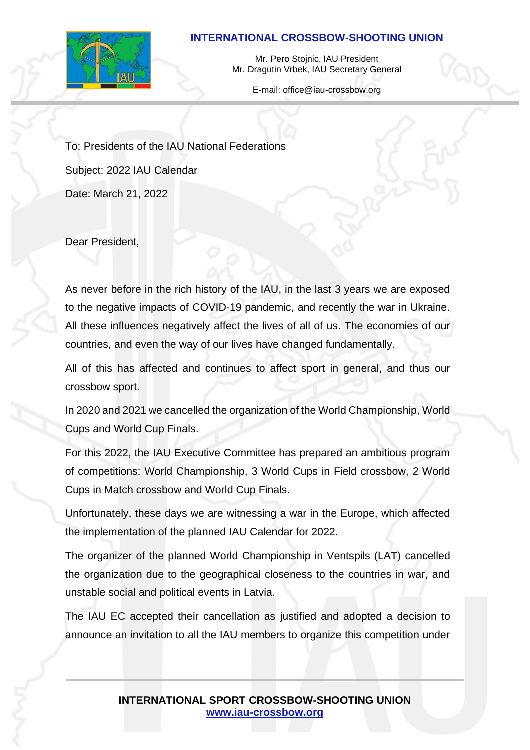## **INTERNATIONAL CROSSBOW-SHOOTING UNION**



Mr. Pero Stojnic, IAU President Mr. Dragutin Vrbek, IAU Secretary General

E-mail: office@iau-crossbow.org

To: Presidents of the IAU National Federations Subject: 2022 IAU Calendar Date: March 21, 2022

Dear President,

As never before in the rich history of the IAU, in the last 3 years we are exposed to the negative impacts of COVID-19 pandemic, and recently the war in Ukraine. All these influences negatively affect the lives of all of us. The economies of our countries, and even the way of our lives have changed fundamentally.

All of this has affected and continues to affect sport in general, and thus our crossbow sport.

In 2020 and 2021 we cancelled the organization of the World Championship, World Cups and World Cup Finals.

For this 2022, the IAU Executive Committee has prepared an ambitious program of competitions: World Championship, 3 World Cups in Field crossbow, 2 World Cups in Match crossbow and World Cup Finals.

Unfortunately, these days we are witnessing a war in the Europe, which affected the implementation of the planned IAU Calendar for 2022.

The organizer of the planned World Championship in Ventspils (LAT) cancelled the organization due to the geographical closeness to the countries in war, and unstable social and political events in Latvia.

The IAU EC accepted their cancellation as justified and adopted a decision to announce an invitation to all the IAU members to organize this competition under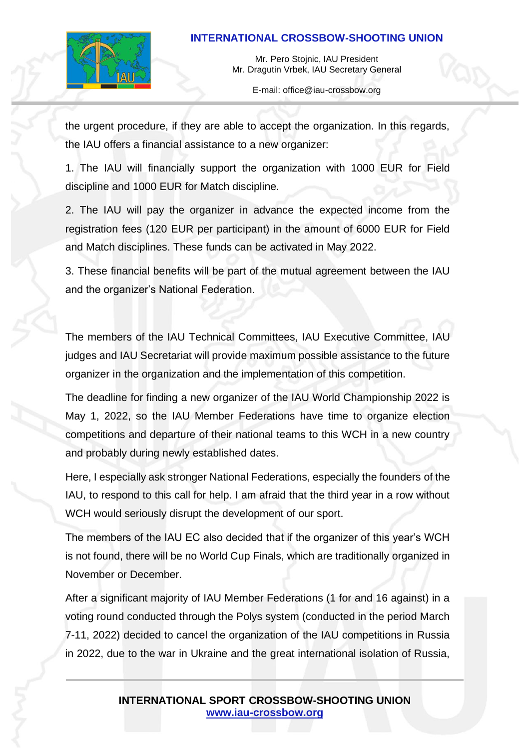## **INTERNATIONAL CROSSBOW-SHOOTING UNION**



Mr. Pero Stojnic, IAU President Mr. Dragutin Vrbek, IAU Secretary General

E-mail: office@iau-crossbow.org

the urgent procedure, if they are able to accept the organization. In this regards, the IAU offers a financial assistance to a new organizer:

1. The IAU will financially support the organization with 1000 EUR for Field discipline and 1000 EUR for Match discipline.

2. The IAU will pay the organizer in advance the expected income from the registration fees (120 EUR per participant) in the amount of 6000 EUR for Field and Match disciplines. These funds can be activated in May 2022.

3. These financial benefits will be part of the mutual agreement between the IAU and the organizer's National Federation.

The members of the IAU Technical Committees, IAU Executive Committee, IAU judges and IAU Secretariat will provide maximum possible assistance to the future organizer in the organization and the implementation of this competition.

The deadline for finding a new organizer of the IAU World Championship 2022 is May 1, 2022, so the IAU Member Federations have time to organize election competitions and departure of their national teams to this WCH in a new country and probably during newly established dates.

Here, I especially ask stronger National Federations, especially the founders of the IAU, to respond to this call for help. I am afraid that the third year in a row without WCH would seriously disrupt the development of our sport.

The members of the IAU EC also decided that if the organizer of this year's WCH is not found, there will be no World Cup Finals, which are traditionally organized in November or December.

After a significant majority of IAU Member Federations (1 for and 16 against) in a voting round conducted through the Polys system (conducted in the period March 7-11, 2022) decided to cancel the organization of the IAU competitions in Russia in 2022, due to the war in Ukraine and the great international isolation of Russia,